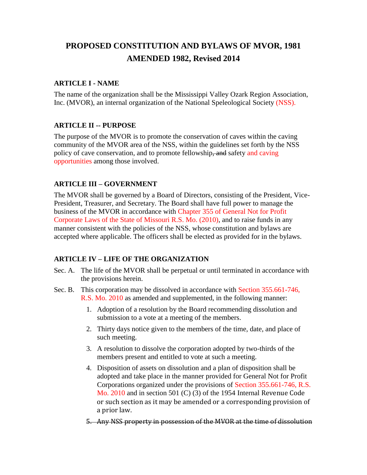# **PROPOSED CONSTITUTION AND BYLAWS OF MVOR, 1981 AMENDED 1982, Revised 2014**

#### **ARTICLE I - NAME**

The name of the organization shall be the Mississippi Valley Ozark Region Association, Inc. (MVOR), an internal organization of the National Speleological Society (NSS).

## **ARTICLE II -- PURPOSE**

The purpose of the MVOR is to promote the conservation of caves within the caving community of the MVOR area of the NSS, within the guidelines set forth by the NSS policy of cave conservation, and to promote fellowship, and safety and caving opportunities among those involved.

## **ARTICLE III – GOVERNMENT**

The MVOR shall be governed by a Board of Directors, consisting of the President, Vice-President, Treasurer, and Secretary. The Board shall have full power to manage the business of the MVOR in accordance with Chapter 355 of General Not for Profit Corporate Laws of the State of Missouri R.S. Mo. (2010), and to raise funds in any manner consistent with the policies of the NSS, whose constitution and bylaws are accepted where applicable. The officers shall be elected as provided for in the bylaws.

## **ARTICLE IV – LIFE OF THE ORGANIZATION**

- Sec. A. The life of the MVOR shall be perpetual or until terminated in accordance with the provisions herein.
- Sec. B. This corporation may be dissolved in accordance with Section 355.661-746, R.S. Mo. 2010 as amended and supplemented, in the following manner:
	- 1. Adoption of a resolution by the Board recommending dissolution and submission to a vote at a meeting of the members.
	- 2. Thirty days notice given to the members of the time, date, and place of such meeting.
	- 3. A resolution to dissolve the corporation adopted by two-thirds of the members present and entitled to vote at such a meeting.
	- 4. Disposition of assets on dissolution and a plan of disposition shall be adopted and take place in the manner provided for General Not for Profit Corporations organized under the provisions of Section 355.661-746, R.S. Mo. 2010 and in section 501 (C) (3) of the 1954 Internal Revenue Code or such section as it may be amended or a corresponding provision of a prior law.

5. Any NSS property in possession of the MVOR at the time of dissolution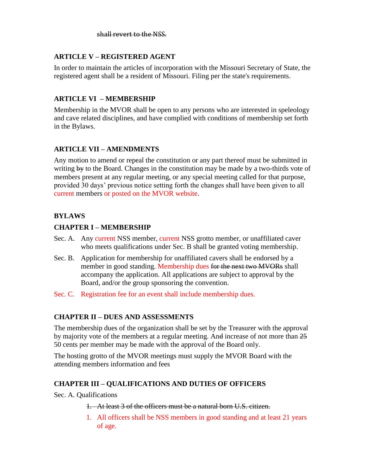## **ARTICLE V – REGISTERED AGENT**

In order to maintain the articles of incorporation with the Missouri Secretary of State, the registered agent shall be a resident of Missouri. Filing per the state's requirements.

#### **ARTICLE VI – MEMBERSHIP**

Membership in the MVOR shall be open to any persons who are interested in speleology and cave related disciplines, and have complied with conditions of membership set forth in the Bylaws.

#### **ARTICLE VII – AMENDMENTS**

Any motion to amend or repeal the constitution or any part thereof must be submitted in writing by to the Board. Changes in the constitution may be made by a two-thirds vote of members present at any regular meeting, or any special meeting called for that purpose, provided 30 days' previous notice setting forth the changes shall have been given to all current members or posted on the MVOR website.

## **BYLAWS**

#### **CHAPTER I – MEMBERSHIP**

- Sec. A. Any current NSS member, current NSS grotto member, or unaffiliated caver who meets qualifications under Sec. B shall be granted voting membership.
- Sec. B. Application for membership for unaffiliated cavers shall be endorsed by a member in good standing. Membership dues for the next two MVORs shall accompany the application. All applications are subject to approval by the Board, and/or the group sponsoring the convention.
- Sec. C. Registration fee for an event shall include membership dues.

## **CHAPTER II – DUES AND ASSESSMENTS**

The membership dues of the organization shall be set by the Treasurer with the approval by majority vote of the members at a regular meeting. And increase of not more than  $25$ 50 cents per member may be made with the approval of the Board only.

The hosting grotto of the MVOR meetings must supply the MVOR Board with the attending members information and fees

#### **CHAPTER III – QUALIFICATIONS AND DUTIES OF OFFICERS**

Sec. A. Qualifications

1. At least 3 of the officers must be a natural born U.S. citizen.

1. All officers shall be NSS members in good standing and at least 21 years of age.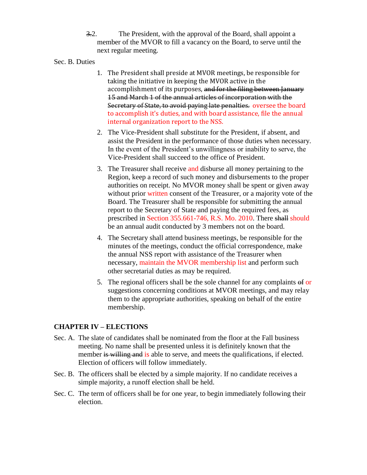3.2. The President, with the approval of the Board, shall appoint a member of the MVOR to fill a vacancy on the Board, to serve until the next regular meeting.

#### Sec. B. Duties

- 1. The President shall preside at MVOR meetings, be responsible for taking the initiative in keeping the MVOR active in the accomplishment of its purposes, and for the filing between January 15 and March 1 of the annual articles of incorporation with the Secretary of State, to avoid paying late penalties. oversee the board to accomplish it's duties, and with board assistance, file the annual internal organization report to the NSS.
- 2. The Vice-President shall substitute for the President, if absent, and assist the President in the performance of those duties when necessary. In the event of the President's unwillingness or inability to serve, the Vice-President shall succeed to the office of President.
- 3. The Treasurer shall receive and disburse all money pertaining to the Region, keep a record of such money and disbursements to the proper authorities on receipt. No MVOR money shall be spent or given away without prior written consent of the Treasurer, or a majority vote of the Board. The Treasurer shall be responsible for submitting the annual report to the Secretary of State and paying the required fees, as prescribed in Section 355.661-746, R.S. Mo. 2010. There shall should be an annual audit conducted by 3 members not on the board.
- 4. The Secretary shall attend business meetings, be responsible for the minutes of the meetings, conduct the official correspondence, make the annual NSS report with assistance of the Treasurer when necessary, maintain the MVOR membership list and perform such other secretarial duties as may be required.
- 5. The regional officers shall be the sole channel for any complaints  $\theta$  or suggestions concerning conditions at MVOR meetings, and may relay them to the appropriate authorities, speaking on behalf of the entire membership.

#### **CHAPTER IV – ELECTIONS**

- Sec. A. The slate of candidates shall be nominated from the floor at the Fall business meeting. No name shall be presented unless it is definitely known that the member is willing and is able to serve, and meets the qualifications, if elected. Election of officers will follow immediately.
- Sec. B. The officers shall be elected by a simple majority. If no candidate receives a simple majority, a runoff election shall be held.
- Sec. C. The term of officers shall be for one year, to begin immediately following their election.